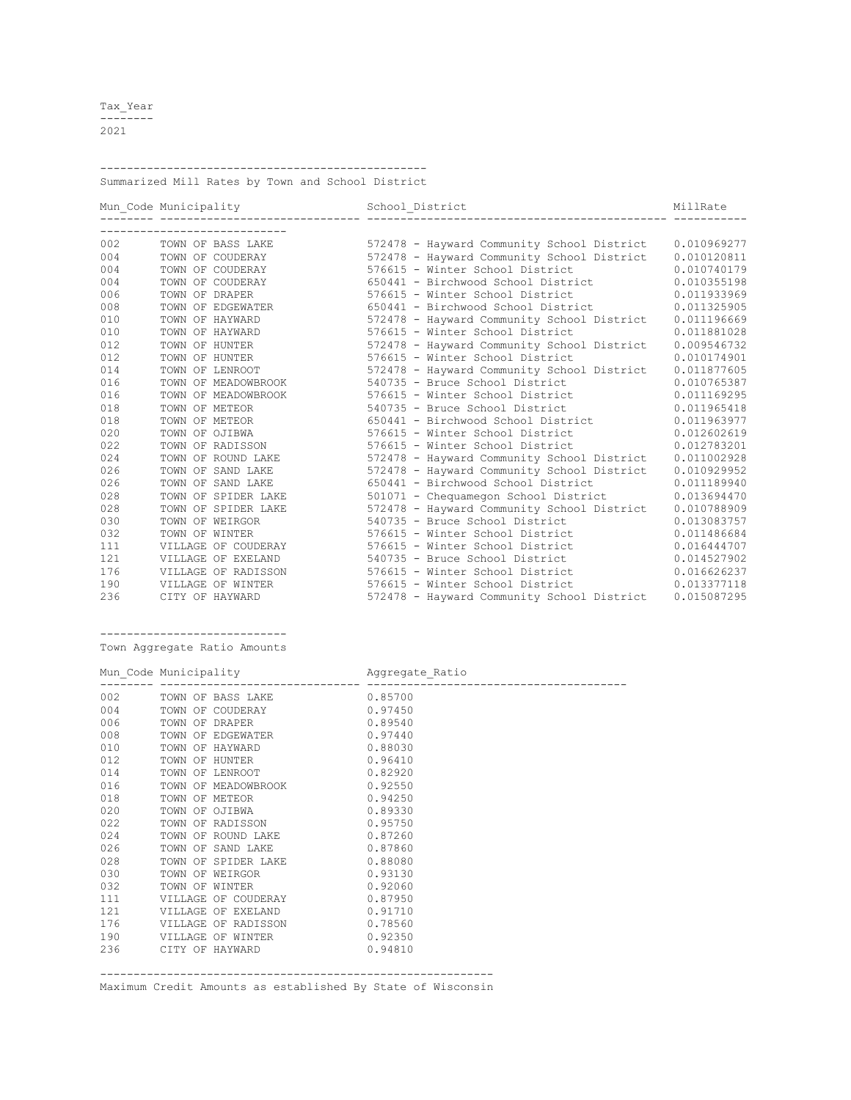Tax\_Year -------- 2021

------------------------------------------------- Summarized Mill Rates by Town and School District

|     | Mun Code Municipality | School District                            | MillRate    |
|-----|-----------------------|--------------------------------------------|-------------|
|     |                       |                                            |             |
| 002 | TOWN OF BASS LAKE     | 572478 - Hayward Community School District | 0.010969277 |
| 004 | TOWN OF COUDERAY      | 572478 - Hayward Community School District | 0.010120811 |
| 004 | TOWN OF COUDERAY      | 576615 - Winter School District            | 0.010740179 |
| 004 | TOWN OF COUDERAY      | 650441 - Birchwood School District         | 0.010355198 |
| 006 | TOWN OF DRAPER        | 576615 - Winter School District            | 0.011933969 |
| 008 | TOWN OF EDGEWATER     | 650441 - Birchwood School District         | 0.011325905 |
| 010 | TOWN OF HAYWARD       | 572478 - Hayward Community School District | 0.011196669 |
| 010 | TOWN OF HAYWARD       | 576615 - Winter School District            | 0.011881028 |
| 012 | TOWN OF HUNTER        | 572478 - Hayward Community School District | 0.009546732 |
| 012 | TOWN OF HUNTER        | 576615 - Winter School District            | 0.010174901 |
| 014 | TOWN OF LENROOT       | 572478 - Hayward Community School District | 0.011877605 |
| 016 | TOWN OF MEADOWBROOK   | 540735 - Bruce School District             | 0.010765387 |
| 016 | TOWN OF MEADOWBROOK   | 576615 - Winter School District            | 0.011169295 |
| 018 | TOWN OF METEOR        | 540735 - Bruce School District             | 0.011965418 |
| 018 | TOWN OF METEOR        | 650441 - Birchwood School District         | 0.011963977 |
| 020 | TOWN OF OJIBWA        | 576615 - Winter School District            | 0.012602619 |
| 022 | TOWN OF RADISSON      | 576615 - Winter School District            | 0.012783201 |
| 024 | TOWN OF ROUND LAKE    | 572478 - Hayward Community School District | 0.011002928 |
| 026 | TOWN OF SAND LAKE     | 572478 - Hayward Community School District | 0.010929952 |
| 026 | TOWN OF SAND LAKE     | 650441 - Birchwood School District         | 0.011189940 |
| 028 | TOWN OF SPIDER LAKE   | 501071 - Chequamegon School District       | 0.013694470 |
| 028 | TOWN OF SPIDER LAKE   | 572478 - Hayward Community School District | 0.010788909 |
| 030 | TOWN OF WEIRGOR       | 540735 - Bruce School District             | 0.013083757 |
| 032 | TOWN OF WINTER        | 576615 - Winter School District            | 0.011486684 |
| 111 | VILLAGE OF COUDERAY   | 576615 - Winter School District            | 0.016444707 |
| 121 | VILLAGE OF EXELAND    | 540735 - Bruce School District             | 0.014527902 |
| 176 | VILLAGE OF RADISSON   | 576615 - Winter School District            | 0.016626237 |
| 190 | VILLAGE OF WINTER     | 576615 - Winter School District            | 0.013377118 |
| 236 | CITY OF HAYWARD       | 572478 - Hayward Community School District | 0.015087295 |

----------------------------

Town Aggregate Ratio Amounts

| 006<br>008<br>010<br>012<br>014 | 002 TOWN OF BASS LAKE 0.85700<br>004 TOWN OF COUDERAY 0.97450<br>0.89540<br>TOWN OF DRAPER<br>TOWN OF EDGEWATER 0.97440<br>0.88030<br>TOWN OF HAYWARD<br>0.96410<br>TOWN OF HUNTER<br>TOWN OF LENROOT 0.82920 |  |
|---------------------------------|---------------------------------------------------------------------------------------------------------------------------------------------------------------------------------------------------------------|--|
| 016<br>018<br>020<br>022<br>024 | TOWN OF MEADOWBROOK 0.92550<br>0.94250<br>TOWN OF METEOR<br>TOWN OF OJIBWA 0.89330<br>TOWN OF RADISSON 0.95750<br>TOWN OF ROUND LAKE 0.87260                                                                  |  |
| 026<br>028<br>030<br>032<br>111 | TOWN OF SAND LAKE 0.87860<br>TOWN OF SPIDER LAKE 0.88080<br>TOWN OF WEIRGOR 0.93130<br>TOWN OF WINTER 0.92060<br>VILLAGE OF COUDERAY 0.87950                                                                  |  |
| 121<br>176<br>190<br>236        | 0.91710<br>VILLAGE OF EXELAND<br>VILLAGE OF RADISSON 0.78560<br>VILLAGE OF WINTER 0.92350<br>0.94810<br>CITY OF HAYWARD                                                                                       |  |

----------------------------------------------------------- Maximum Credit Amounts as established By State of Wisconsin